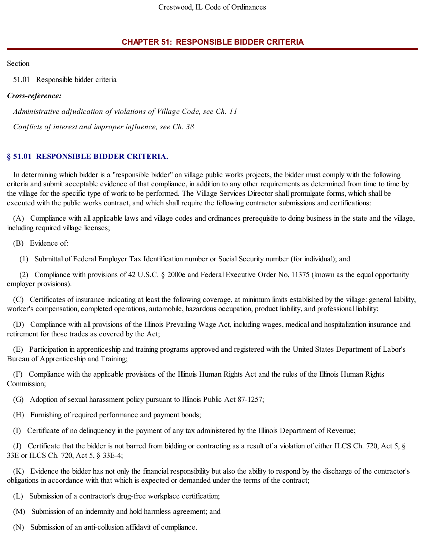## **CHAPTER 51: RESPONSIBLE BIDDER CRITERIA**

Section

51.01 Responsible bidder criteria

## *Cross-reference:*

*Administrative adjudication of violations of Village Code, see Ch. 11*

*Conflicts of interest and improper influence, see Ch. 38*

## **§ 51.01 RESPONSIBLE BIDDER CRITERIA.**

In determining which bidder is a "responsible bidder" on village public works projects, the bidder must comply with the following criteria and submit acceptable evidence of that compliance, in addition to any other requirements as determined from time to time by the village for the specific type of work to be performed. The Village Services Director shall promulgate forms, which shall be executed with the public works contract, and which shall require the following contractor submissions and certifications:

(A) Compliance with all applicable laws and village codes and ordinances prerequisite to doing business in the state and the village, including required village licenses;

(B) Evidence of:

(1) Submittal of Federal Employer Tax Identification number or Social Security number (for individual); and

(2) Compliance with provisions of 42 U.S.C. § 2000e and Federal Executive Order No, 11375 (known as the equal opportunity employer provisions).

(C) Certificates of insurance indicating at least the following coverage, at minimum limits established by the village: general liability, worker's compensation, completed operations, automobile, hazardous occupation, product liability, and professional liability;

(D) Compliance with all provisions of the Illinois Prevailing Wage Act, including wages, medical and hospitalization insurance and retirement for those trades as covered by the Act;

(E) Participation in apprenticeship and training programs approved and registered with the United States Department of Labor's Bureau of Apprenticeship and Training;

(F) Compliance with the applicable provisions of the Illinois Human Rights Act and the rules of the Illinois Human Rights Commission;

(G) Adoption of sexual harassment policy pursuant to Illinois Public Act 87-1257;

(H) Furnishing of required performance and payment bonds;

(I) Certificate of no delinquency in the payment of any tax administered by the Illinois Department of Revenue;

(J) Certificate that the bidder is not barred from bidding or contracting as a result of a violation of either ILCS Ch. 720, Act 5, § 33E or ILCS Ch. 720, Act 5, § 33E-4;

(K) Evidence the bidder has not only the financial responsibility but also the ability to respond by the discharge of the contractor's obligations in accordance with that which is expected or demanded under the terms of the contract;

(L) Submission of a contractor's drug-free workplace certification;

(M) Submission of an indemnity and hold harmless agreement; and

(N) Submission of an anti-collusion affidavit of compliance.